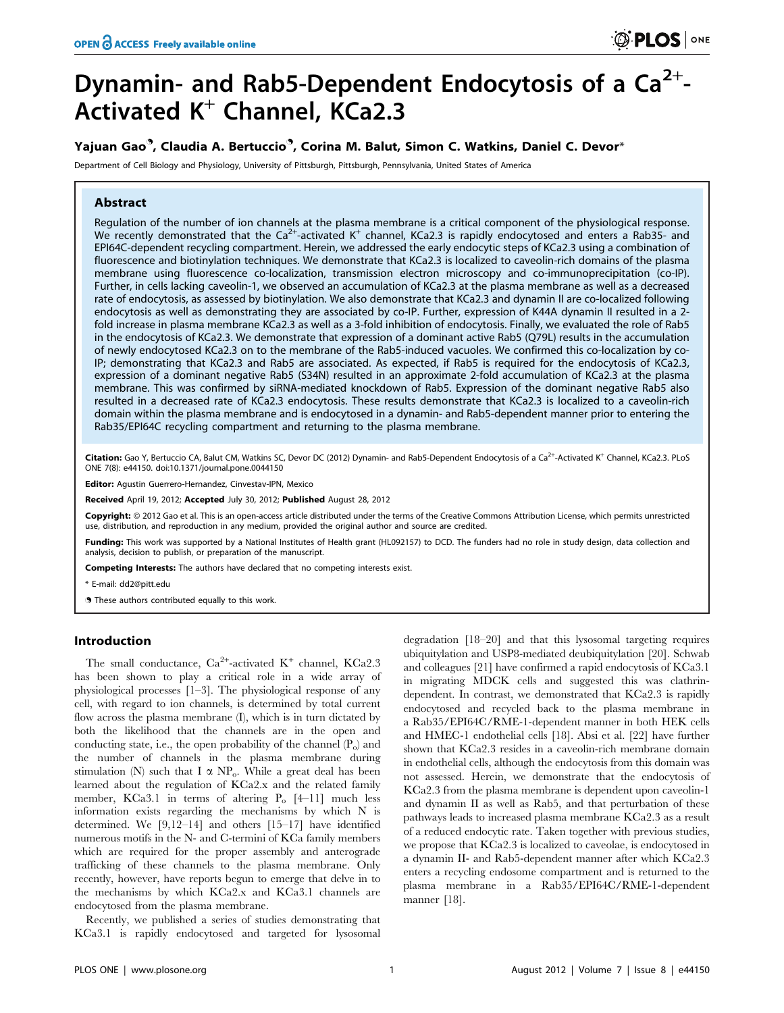# Dynamin- and Rab5-Dependent Endocytosis of a  $\text{Ca}^{2+}$ -Activated  $K^+$  Channel, KCa2.3

# Yajuan Gao<sup>9</sup>, Claudia A. Bertuccio<sup>9</sup>, Corina M. Balut, Simon C. Watkins, Daniel C. Devor\*

Department of Cell Biology and Physiology, University of Pittsburgh, Pittsburgh, Pennsylvania, United States of America

# Abstract

Regulation of the number of ion channels at the plasma membrane is a critical component of the physiological response. We recently demonstrated that the Ca<sup>2+</sup>-activated K<sup>+</sup> channel, KCa2.3 is rapidly endocytosed and enters a Rab35- and EPI64C-dependent recycling compartment. Herein, we addressed the early endocytic steps of KCa2.3 using a combination of fluorescence and biotinylation techniques. We demonstrate that KCa2.3 is localized to caveolin-rich domains of the plasma membrane using fluorescence co-localization, transmission electron microscopy and co-immunoprecipitation (co-IP). Further, in cells lacking caveolin-1, we observed an accumulation of KCa2.3 at the plasma membrane as well as a decreased rate of endocytosis, as assessed by biotinylation. We also demonstrate that KCa2.3 and dynamin II are co-localized following endocytosis as well as demonstrating they are associated by co-IP. Further, expression of K44A dynamin II resulted in a 2 fold increase in plasma membrane KCa2.3 as well as a 3-fold inhibition of endocytosis. Finally, we evaluated the role of Rab5 in the endocytosis of KCa2.3. We demonstrate that expression of a dominant active Rab5 (Q79L) results in the accumulation of newly endocytosed KCa2.3 on to the membrane of the Rab5-induced vacuoles. We confirmed this co-localization by co-IP; demonstrating that KCa2.3 and Rab5 are associated. As expected, if Rab5 is required for the endocytosis of KCa2.3, expression of a dominant negative Rab5 (S34N) resulted in an approximate 2-fold accumulation of KCa2.3 at the plasma membrane. This was confirmed by siRNA-mediated knockdown of Rab5. Expression of the dominant negative Rab5 also resulted in a decreased rate of KCa2.3 endocytosis. These results demonstrate that KCa2.3 is localized to a caveolin-rich domain within the plasma membrane and is endocytosed in a dynamin- and Rab5-dependent manner prior to entering the Rab35/EPI64C recycling compartment and returning to the plasma membrane.

Citation: Gao Y, Bertuccio CA, Balut CM, Watkins SC, Devor DC (2012) Dynamin- and Rab5-Dependent Endocytosis of a Ca<sup>2+</sup>-Activated K<sup>+</sup> Channel, KCa2.3. PLoS ONE 7(8): e44150. doi:10.1371/journal.pone.0044150

Editor: Agustin Guerrero-Hernandez, Cinvestav-IPN, Mexico

Received April 19, 2012; Accepted July 30, 2012; Published August 28, 2012

Copyright: 2012 Gao et al. This is an open-access article distributed under the terms of the Creative Commons Attribution License, which permits unrestricted use, distribution, and reproduction in any medium, provided the original author and source are credited.

Funding: This work was supported by a National Institutes of Health grant (HL092157) to DCD. The funders had no role in study design, data collection and analysis, decision to publish, or preparation of the manuscript.

Competing Interests: The authors have declared that no competing interests exist.

\* E-mail: dd2@pitt.edu

**These authors contributed equally to this work.** 

# Introduction

The small conductance,  $Ca^{2+}$ -activated  $K^+$  channel, KCa2.3 has been shown to play a critical role in a wide array of physiological processes [1–3]. The physiological response of any cell, with regard to ion channels, is determined by total current flow across the plasma membrane (I), which is in turn dictated by both the likelihood that the channels are in the open and conducting state, i.e., the open probability of the channel  $(P_0)$  and the number of channels in the plasma membrane during stimulation (N) such that I  $\alpha$  NP<sub>0</sub>. While a great deal has been learned about the regulation of KCa2.x and the related family member, KCa3.1 in terms of altering  $P_0$  [4–11] much less information exists regarding the mechanisms by which N is determined. We [9,12–14] and others [15–17] have identified numerous motifs in the N- and C-termini of KCa family members which are required for the proper assembly and anterograde trafficking of these channels to the plasma membrane. Only recently, however, have reports begun to emerge that delve in to the mechanisms by which KCa2.x and KCa3.1 channels are endocytosed from the plasma membrane.

Recently, we published a series of studies demonstrating that KCa3.1 is rapidly endocytosed and targeted for lysosomal

degradation [18–20] and that this lysosomal targeting requires ubiquitylation and USP8-mediated deubiquitylation [20]. Schwab and colleagues [21] have confirmed a rapid endocytosis of KCa3.1 in migrating MDCK cells and suggested this was clathrindependent. In contrast, we demonstrated that KCa2.3 is rapidly endocytosed and recycled back to the plasma membrane in a Rab35/EPI64C/RME-1-dependent manner in both HEK cells and HMEC-1 endothelial cells [18]. Absi et al. [22] have further shown that KCa2.3 resides in a caveolin-rich membrane domain in endothelial cells, although the endocytosis from this domain was not assessed. Herein, we demonstrate that the endocytosis of KCa2.3 from the plasma membrane is dependent upon caveolin-1 and dynamin II as well as Rab5, and that perturbation of these pathways leads to increased plasma membrane KCa2.3 as a result of a reduced endocytic rate. Taken together with previous studies, we propose that KCa2.3 is localized to caveolae, is endocytosed in a dynamin II- and Rab5-dependent manner after which KCa2.3 enters a recycling endosome compartment and is returned to the plasma membrane in a Rab35/EPI64C/RME-1-dependent manner [18].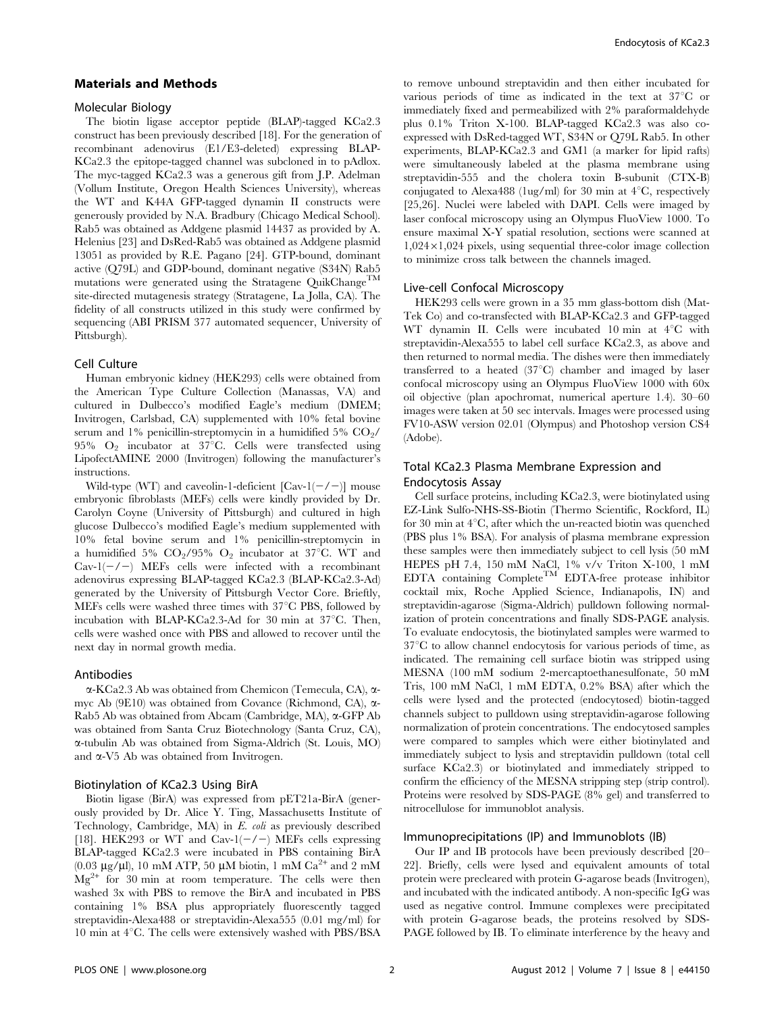## Materials and Methods

## Molecular Biology

The biotin ligase acceptor peptide (BLAP)-tagged KCa2.3 construct has been previously described [18]. For the generation of recombinant adenovirus (E1/E3-deleted) expressing BLAP-KCa2.3 the epitope-tagged channel was subcloned in to pAdlox. The myc-tagged KCa2.3 was a generous gift from J.P. Adelman (Vollum Institute, Oregon Health Sciences University), whereas the WT and K44A GFP-tagged dynamin II constructs were generously provided by N.A. Bradbury (Chicago Medical School). Rab5 was obtained as Addgene plasmid 14437 as provided by A. Helenius [23] and DsRed-Rab5 was obtained as Addgene plasmid 13051 as provided by R.E. Pagano [24]. GTP-bound, dominant active (Q79L) and GDP-bound, dominant negative (S34N) Rab5 mutations were generated using the Stratagene QuikChange<sup>TM</sup> site-directed mutagenesis strategy (Stratagene, La Jolla, CA). The fidelity of all constructs utilized in this study were confirmed by sequencing (ABI PRISM 377 automated sequencer, University of Pittsburgh).

## Cell Culture

Human embryonic kidney (HEK293) cells were obtained from the American Type Culture Collection (Manassas, VA) and cultured in Dulbecco's modified Eagle's medium (DMEM; Invitrogen, Carlsbad, CA) supplemented with 10% fetal bovine serum and 1% penicillin-streptomycin in a humidified 5%  $CO<sub>2</sub>/$ 95%  $O_2$  incubator at 37°C. Cells were transfected using LipofectAMINE 2000 (Invitrogen) following the manufacturer's instructions.

Wild-type (WT) and caveolin-1-deficient  $[Cav-1(-/-)]$  mouse embryonic fibroblasts (MEFs) cells were kindly provided by Dr. Carolyn Coyne (University of Pittsburgh) and cultured in high glucose Dulbecco's modified Eagle's medium supplemented with 10% fetal bovine serum and 1% penicillin-streptomycin in a humidified 5%  $CO_2/95\%$   $O_2$  incubator at 37°C. WT and Cav-1 $(-/-)$  MEFs cells were infected with a recombinant adenovirus expressing BLAP-tagged KCa2.3 (BLAP-KCa2.3-Ad) generated by the University of Pittsburgh Vector Core. Brieftly, MEFs cells were washed three times with  $37^{\circ}$ C PBS, followed by incubation with BLAP-KCa2.3-Ad for 30 min at  $37^{\circ}$ C. Then, cells were washed once with PBS and allowed to recover until the next day in normal growth media.

## Antibodies

a-KCa2.3 Ab was obtained from Chemicon (Temecula, CA), amyc Ab (9E10) was obtained from Covance (Richmond, CA), a-Rab5 Ab was obtained from Abcam (Cambridge, MA), a-GFP Ab was obtained from Santa Cruz Biotechnology (Santa Cruz, CA), a-tubulin Ab was obtained from Sigma-Aldrich (St. Louis, MO) and  $\alpha$ -V<sub>5</sub> Ab was obtained from Invitrogen.

## Biotinylation of KCa2.3 Using BirA

Biotin ligase (BirA) was expressed from pET21a-BirA (generously provided by Dr. Alice Y. Ting, Massachusetts Institute of Technology, Cambridge, MA) in E. coli as previously described [18]. HEK293 or WT and Cav-1( $-\/$ ) MEFs cells expressing BLAP-tagged KCa2.3 were incubated in PBS containing BirA (0.03  $\mu$ g/ $\mu$ l), 10 mM ATP, 50  $\mu$ M biotin, 1 mM Ca<sup>2+</sup> and 2 mM  $Mg^{2+}$  for 30 min at room temperature. The cells were then washed 3x with PBS to remove the BirA and incubated in PBS containing 1% BSA plus appropriately fluorescently tagged streptavidin-Alexa488 or streptavidin-Alexa555 (0.01 mg/ml) for 10 min at  $4^{\circ}$ C. The cells were extensively washed with PBS/BSA

to remove unbound streptavidin and then either incubated for various periods of time as indicated in the text at  $37^{\circ}$ C or immediately fixed and permeabilized with 2% paraformaldehyde plus 0.1% Triton X-100. BLAP-tagged KCa2.3 was also coexpressed with DsRed-tagged WT, S34N or Q79L Rab5. In other experiments, BLAP-KCa2.3 and GM1 (a marker for lipid rafts) were simultaneously labeled at the plasma membrane using streptavidin-555 and the cholera toxin B-subunit (CTX-B) conjugated to Alexa488 (1ug/ml) for 30 min at  $4^{\circ}$ C, respectively [25,26]. Nuclei were labeled with DAPI. Cells were imaged by laser confocal microscopy using an Olympus FluoView 1000. To ensure maximal X-Y spatial resolution, sections were scanned at 1,024*6*1,024 pixels, using sequential three-color image collection to minimize cross talk between the channels imaged.

## Live-cell Confocal Microscopy

HEK293 cells were grown in a 35 mm glass-bottom dish (Mat-Tek Co) and co-transfected with BLAP-KCa2.3 and GFP-tagged WT dynamin II. Cells were incubated 10 min at  $4^{\circ}$ C with streptavidin-Alexa555 to label cell surface KCa2.3, as above and then returned to normal media. The dishes were then immediately transferred to a heated  $(37^{\circ}C)$  chamber and imaged by laser confocal microscopy using an Olympus FluoView 1000 with 60x oil objective (plan apochromat, numerical aperture 1.4). 30–60 images were taken at 50 sec intervals. Images were processed using FV10-ASW version 02.01 (Olympus) and Photoshop version CS4 (Adobe).

# Total KCa2.3 Plasma Membrane Expression and Endocytosis Assay

Cell surface proteins, including KCa2.3, were biotinylated using EZ-Link Sulfo-NHS-SS-Biotin (Thermo Scientific, Rockford, IL) for 30 min at  $4^{\circ}$ C, after which the un-reacted biotin was quenched (PBS plus 1% BSA). For analysis of plasma membrane expression these samples were then immediately subject to cell lysis (50 mM HEPES pH 7.4, 150 mM NaCl, 1% v/v Triton X-100, 1 mM  $EDTA$  containing  $Complete<sup>TM</sup>$   $EDTA-free$  protease inhibitor cocktail mix, Roche Applied Science, Indianapolis, IN) and streptavidin-agarose (Sigma-Aldrich) pulldown following normalization of protein concentrations and finally SDS-PAGE analysis. To evaluate endocytosis, the biotinylated samples were warmed to  $37^{\circ}$ C to allow channel endocytosis for various periods of time, as indicated. The remaining cell surface biotin was stripped using MESNA (100 mM sodium 2-mercaptoethanesulfonate, 50 mM Tris, 100 mM NaCl, 1 mM EDTA, 0.2% BSA) after which the cells were lysed and the protected (endocytosed) biotin-tagged channels subject to pulldown using streptavidin-agarose following normalization of protein concentrations. The endocytosed samples were compared to samples which were either biotinylated and immediately subject to lysis and streptavidin pulldown (total cell surface KCa2.3) or biotinylated and immediately stripped to confirm the efficiency of the MESNA stripping step (strip control). Proteins were resolved by SDS-PAGE (8% gel) and transferred to nitrocellulose for immunoblot analysis.

# Immunoprecipitations (IP) and Immunoblots (IB)

Our IP and IB protocols have been previously described [20– 22]. Briefly, cells were lysed and equivalent amounts of total protein were precleared with protein G-agarose beads (Invitrogen), and incubated with the indicated antibody. A non-specific IgG was used as negative control. Immune complexes were precipitated with protein G-agarose beads, the proteins resolved by SDS-PAGE followed by IB. To eliminate interference by the heavy and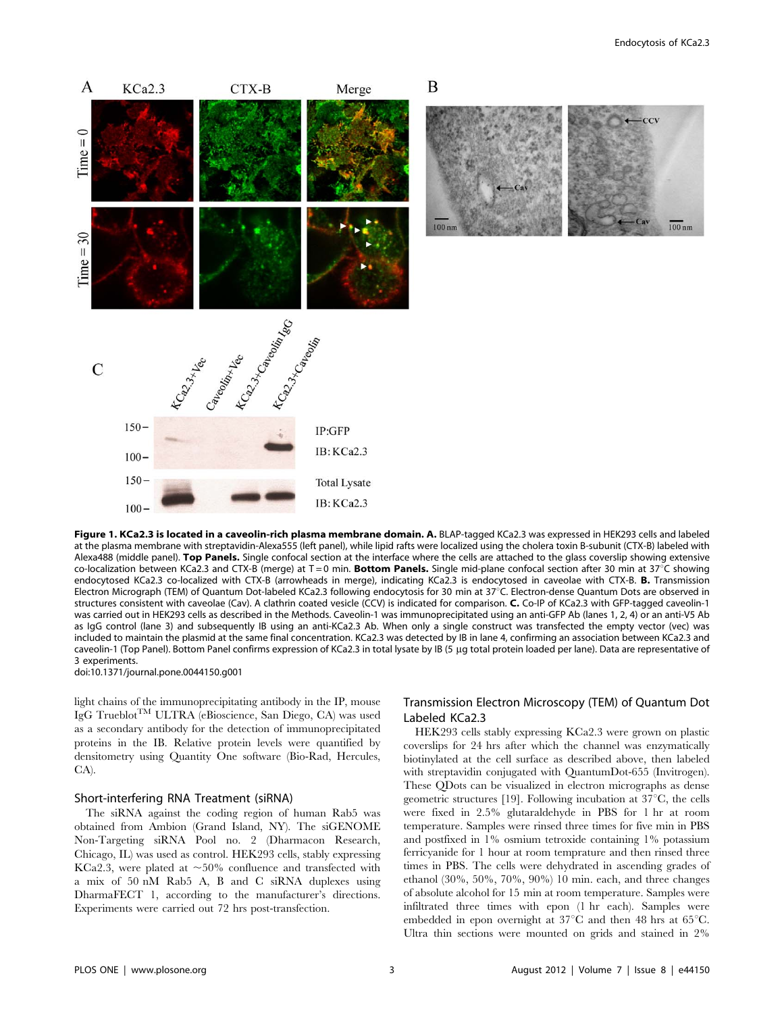

Figure 1. KCa2.3 is located in a caveolin-rich plasma membrane domain. A. BLAP-tagged KCa2.3 was expressed in HEK293 cells and labeled at the plasma membrane with streptavidin-Alexa555 (left panel), while lipid rafts were localized using the cholera toxin B-subunit (CTX-B) labeled with Alexa488 (middle panel). Top Panels, Single confocal section at the interface where the cells are attached to the glass coverslip showing extensive co-localization between KCa2.3 and CTX-B (merge) at  $T = 0$  min. **Bottom Panels.** Single mid-plane confocal section after 30 min at 37<sup>°</sup>C showing endocytosed KCa2.3 co-localized with CTX-B (arrowheads in merge), indicating KCa2.3 is endocytosed in caveolae with CTX-B. B. Transmission Electron Micrograph (TEM) of Quantum Dot-labeled KCa2.3 following endocytosis for 30 min at  $37^{\circ}$ C. Electron-dense Quantum Dots are observed in structures consistent with caveolae (Cav). A clathrin coated vesicle (CCV) is indicated for comparison. C. Co-IP of KCa2.3 with GFP-tagged caveolin-1 was carried out in HEK293 cells as described in the Methods. Caveolin-1 was immunoprecipitated using an anti-GFP Ab (lanes 1, 2, 4) or an anti-V5 Ab as IgG control (lane 3) and subsequently IB using an anti-KCa2.3 Ab. When only a single construct was transfected the empty vector (vec) was included to maintain the plasmid at the same final concentration. KCa2.3 was detected by IB in lane 4, confirming an association between KCa2.3 and caveolin-1 (Top Panel). Bottom Panel confirms expression of KCa2.3 in total lysate by IB (5 µg total protein loaded per lane). Data are representative of 3 experiments.

doi:10.1371/journal.pone.0044150.g001

light chains of the immunoprecipitating antibody in the IP, mouse  $I_{\mathcal{B}}G$  Trueblot<sup>TM</sup> ULTRA (eBioscience, San Diego, CA) was used as a secondary antibody for the detection of immunoprecipitated proteins in the IB. Relative protein levels were quantified by densitometry using Quantity One software (Bio-Rad, Hercules, CA).

#### Short-interfering RNA Treatment (siRNA)

The siRNA against the coding region of human Rab5 was obtained from Ambion (Grand Island, NY). The siGENOME Non-Targeting siRNA Pool no. 2 (Dharmacon Research, Chicago, IL) was used as control. HEK293 cells, stably expressing KCa2.3, were plated at  $\sim$ 50% confluence and transfected with a mix of 50 nM Rab5 A, B and C siRNA duplexes using DharmaFECT 1, according to the manufacturer's directions. Experiments were carried out 72 hrs post-transfection.

# Transmission Electron Microscopy (TEM) of Quantum Dot Labeled KCa2.3

HEK293 cells stably expressing KCa2.3 were grown on plastic coverslips for 24 hrs after which the channel was enzymatically biotinylated at the cell surface as described above, then labeled with streptavidin conjugated with QuantumDot-655 (Invitrogen). These QDots can be visualized in electron micrographs as dense geometric structures [19]. Following incubation at  $37^{\circ}$ C, the cells were fixed in 2.5% glutaraldehyde in PBS for 1 hr at room temperature. Samples were rinsed three times for five min in PBS and postfixed in 1% osmium tetroxide containing 1% potassium ferricyanide for 1 hour at room temprature and then rinsed three times in PBS. The cells were dehydrated in ascending grades of ethanol (30%, 50%, 70%, 90%) 10 min. each, and three changes of absolute alcohol for 15 min at room temperature. Samples were infiltrated three times with epon (1 hr each). Samples were embedded in epon overnight at  $37^{\circ}$ C and then 48 hrs at  $65^{\circ}$ C. Ultra thin sections were mounted on grids and stained in 2%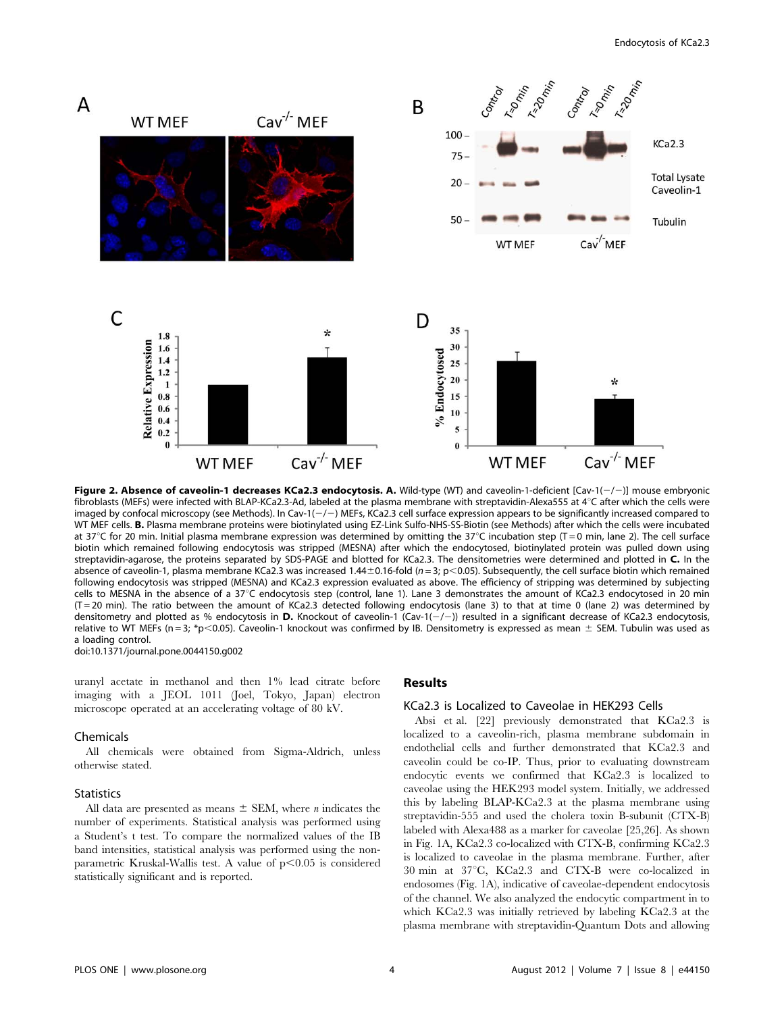

Figure 2. Absence of caveolin-1 decreases KCa2.3 endocytosis. A. Wild-type (WT) and caveolin-1-deficient [Cav-1(-/-)] mouse embryonic fibroblasts (MEFs) were infected with BLAP-KCa2.3-Ad, labeled at the plasma membrane with streptavidin-Alexa555 at  $4^{\circ}$ C after which the cells were imaged by confocal microscopy (see Methods). In Cav-1 $(-/-)$  MEFs, KCa2.3 cell surface expression appears to be significantly increased compared to WT MEF cells. **B.** Plasma membrane proteins were biotinylated using EZ-Link Sulfo-NHS-SS-Biotin (see Methods) after which the cells were incubated at 37°C for 20 min. Initial plasma membrane expression was determined by omitting the 37°C incubation step (T = 0 min, lane 2). The cell surface biotin which remained following endocytosis was stripped (MESNA) after which the endocytosed, biotinylated protein was pulled down using streptavidin-agarose, the proteins separated by SDS-PAGE and blotted for KCa2.3. The densitometries were determined and plotted in C. In the absence of caveolin-1, plasma membrane KCa2.3 was increased 1.44 ± 0.16-fold ( $n = 3$ ; p<0.05). Subsequently, the cell surface biotin which remained following endocytosis was stripped (MESNA) and KCa2.3 expression evaluated as above. The efficiency of stripping was determined by subjecting cells to MESNA in the absence of a 37°C endocytosis step (control, lane 1). Lane 3 demonstrates the amount of KCa2.3 endocytosed in 20 min (T = 20 min). The ratio between the amount of KCa2.3 detected following endocytosis (lane 3) to that at time 0 (lane 2) was determined by densitometry and plotted as % endocytosis in D. Knockout of caveolin-1 (Cav-1( $-/-$ )) resulted in a significant decrease of KCa2.3 endocytosis, relative to WT MEFs (n = 3; \*p<0.05). Caveolin-1 knockout was confirmed by IB. Densitometry is expressed as mean  $\pm$  SEM. Tubulin was used as a loading control.

doi:10.1371/journal.pone.0044150.g002

uranyl acetate in methanol and then 1% lead citrate before imaging with a JEOL 1011 (Joel, Tokyo, Japan) electron microscope operated at an accelerating voltage of 80 kV.

#### Chemicals

All chemicals were obtained from Sigma-Aldrich, unless otherwise stated.

## **Statistics**

All data are presented as means  $\pm$  SEM, where *n* indicates the number of experiments. Statistical analysis was performed using a Student's t test. To compare the normalized values of the IB band intensities, statistical analysis was performed using the nonparametric Kruskal-Wallis test. A value of  $p<0.05$  is considered statistically significant and is reported.

## Results

# KCa2.3 is Localized to Caveolae in HEK293 Cells

Absi et al. [22] previously demonstrated that KCa2.3 is localized to a caveolin-rich, plasma membrane subdomain in endothelial cells and further demonstrated that KCa2.3 and caveolin could be co-IP. Thus, prior to evaluating downstream endocytic events we confirmed that KCa2.3 is localized to caveolae using the HEK293 model system. Initially, we addressed this by labeling BLAP-KCa2.3 at the plasma membrane using streptavidin-555 and used the cholera toxin B-subunit (CTX-B) labeled with Alexa488 as a marker for caveolae [25,26]. As shown in Fig. 1A, KCa2.3 co-localized with CTX-B, confirming KCa2.3 is localized to caveolae in the plasma membrane. Further, after  $30 \text{ min}$  at  $37^{\circ}\text{C}$ , KCa2.3 and CTX-B were co-localized in endosomes (Fig. 1A), indicative of caveolae-dependent endocytosis of the channel. We also analyzed the endocytic compartment in to which KCa2.3 was initially retrieved by labeling KCa2.3 at the plasma membrane with streptavidin-Quantum Dots and allowing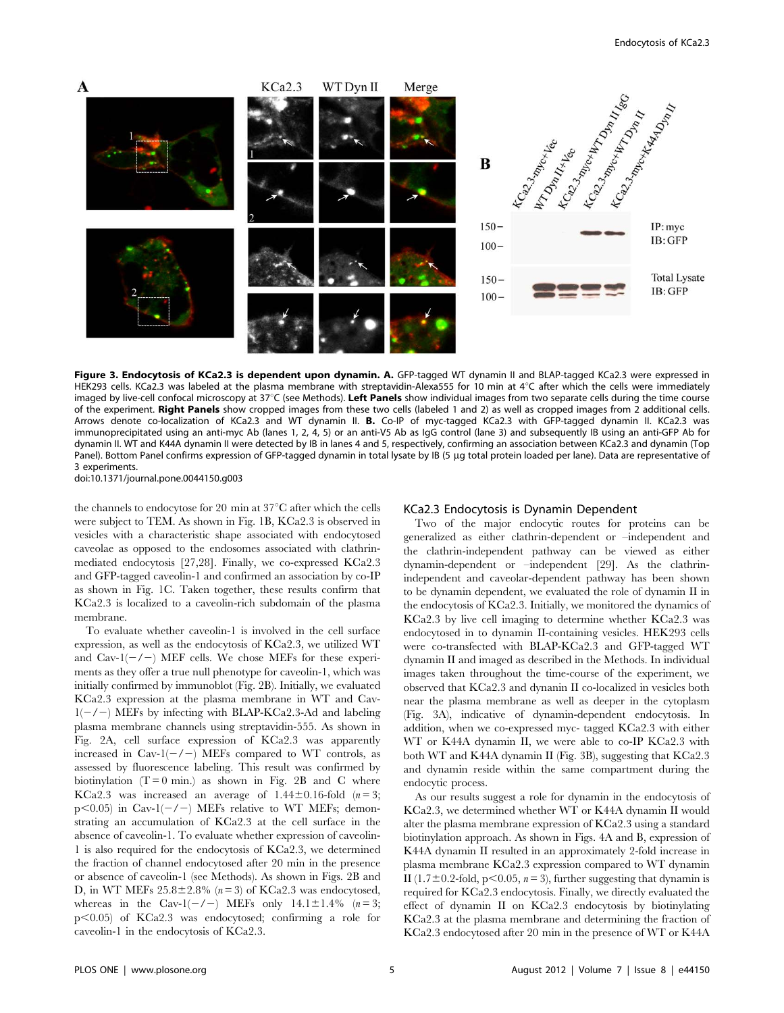

Figure 3. Endocytosis of KCa2.3 is dependent upon dynamin. A. GFP-tagged WT dynamin II and BLAP-tagged KCa2.3 were expressed in HEK293 cells. KCa2.3 was labeled at the plasma membrane with streptavidin-Alexa555 for 10 min at  $4^{\circ}$ C after which the cells were immediately imaged by live-cell confocal microscopy at  $37^{\circ}$ C (see Methods). Left Panels show individual images from two separate cells during the time course of the experiment. Right Panels show cropped images from these two cells (labeled 1 and 2) as well as cropped images from 2 additional cells. Arrows denote co-localization of KCa2.3 and WT dynamin II. B. Co-IP of myc-tagged KCa2.3 with GFP-tagged dynamin II. KCa2.3 was immunoprecipitated using an anti-myc Ab (lanes 1, 2, 4, 5) or an anti-V5 Ab as IgG control (lane 3) and subsequently IB using an anti-GFP Ab for dynamin II. WT and K44A dynamin II were detected by IB in lanes 4 and 5, respectively, confirming an association between KCa2.3 and dynamin (Top Panel). Bottom Panel confirms expression of GFP-tagged dynamin in total lysate by IB (5 µg total protein loaded per lane). Data are representative of 3 experiments.

doi:10.1371/journal.pone.0044150.g003

the channels to endocytose for 20 min at  $37^{\circ}$ C after which the cells were subject to TEM. As shown in Fig. 1B, KCa2.3 is observed in vesicles with a characteristic shape associated with endocytosed caveolae as opposed to the endosomes associated with clathrinmediated endocytosis [27,28]. Finally, we co-expressed KCa2.3 and GFP-tagged caveolin-1 and confirmed an association by co-IP as shown in Fig. 1C. Taken together, these results confirm that KCa2.3 is localized to a caveolin-rich subdomain of the plasma membrane.

To evaluate whether caveolin-1 is involved in the cell surface expression, as well as the endocytosis of KCa2.3, we utilized WT and Cav- $1(-/-)$  MEF cells. We chose MEFs for these experiments as they offer a true null phenotype for caveolin-1, which was initially confirmed by immunoblot (Fig. 2B). Initially, we evaluated KCa2.3 expression at the plasma membrane in WT and Cav- $1(-/-)$  MEFs by infecting with BLAP-KCa2.3-Ad and labeling plasma membrane channels using streptavidin-555. As shown in Fig. 2A, cell surface expression of KCa2.3 was apparently increased in Cav-1 $(-/-)$  MEFs compared to WT controls, as assessed by fluorescence labeling. This result was confirmed by biotinylation  $(T = 0 \text{ min.})$  as shown in Fig. 2B and C where KCa2.3 was increased an average of  $1.44 \pm 0.16$ -fold  $(n=3;$  $p<0.05$ ) in Cav-1(-/-) MEFs relative to WT MEFs; demonstrating an accumulation of KCa2.3 at the cell surface in the absence of caveolin-1. To evaluate whether expression of caveolin-1 is also required for the endocytosis of KCa2.3, we determined the fraction of channel endocytosed after 20 min in the presence or absence of caveolin-1 (see Methods). As shown in Figs. 2B and D, in WT MEFs  $25.8 \pm 2.8\%$  ( $n = 3$ ) of KCa2.3 was endocytosed, whereas in the Cav-1( $-\prime$ ) MEFs only 14.1±1.4% (n = 3;  $p<0.05$  of KCa2.3 was endocytosed; confirming a role for caveolin-1 in the endocytosis of KCa2.3.

# KCa2.3 Endocytosis is Dynamin Dependent

Two of the major endocytic routes for proteins can be generalized as either clathrin-dependent or –independent and the clathrin-independent pathway can be viewed as either dynamin-dependent or –independent [29]. As the clathrinindependent and caveolar-dependent pathway has been shown to be dynamin dependent, we evaluated the role of dynamin II in the endocytosis of KCa2.3. Initially, we monitored the dynamics of KCa2.3 by live cell imaging to determine whether KCa2.3 was endocytosed in to dynamin II-containing vesicles. HEK293 cells were co-transfected with BLAP-KCa2.3 and GFP-tagged WT dynamin II and imaged as described in the Methods. In individual images taken throughout the time-course of the experiment, we observed that KCa2.3 and dynanin II co-localized in vesicles both near the plasma membrane as well as deeper in the cytoplasm (Fig. 3A), indicative of dynamin-dependent endocytosis. In addition, when we co-expressed myc- tagged KCa2.3 with either WT or K44A dynamin II, we were able to co-IP KCa2.3 with both WT and K44A dynamin II (Fig. 3B), suggesting that KCa2.3 and dynamin reside within the same compartment during the endocytic process.

As our results suggest a role for dynamin in the endocytosis of KCa2.3, we determined whether WT or K44A dynamin II would alter the plasma membrane expression of KCa2.3 using a standard biotinylation approach. As shown in Figs. 4A and B, expression of K44A dynamin II resulted in an approximately 2-fold increase in plasma membrane KCa2.3 expression compared to WT dynamin II (1.7 $\pm$ 0.2-fold, p $\leq$ 0.05, n = 3), further suggesting that dynamin is required for KCa2.3 endocytosis. Finally, we directly evaluated the effect of dynamin II on KCa2.3 endocytosis by biotinylating KCa2.3 at the plasma membrane and determining the fraction of KCa2.3 endocytosed after 20 min in the presence of WT or K44A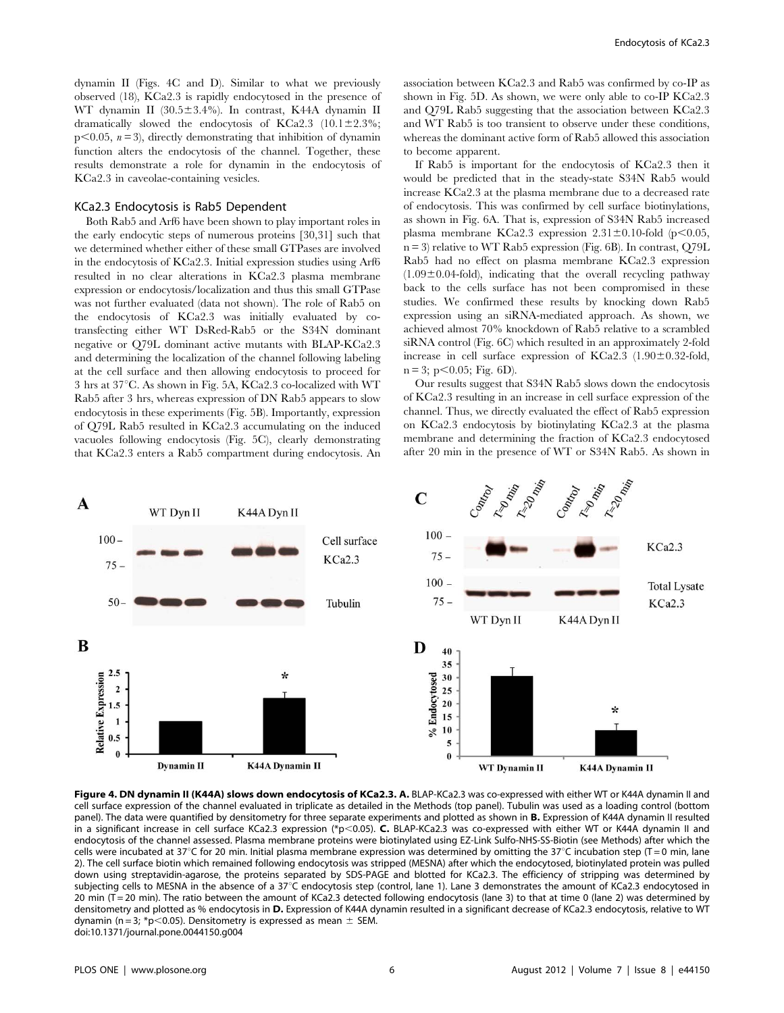dynamin II (Figs. 4C and D). Similar to what we previously observed (18), KCa2.3 is rapidly endocytosed in the presence of WT dynamin II (30.5 $\pm$ 3.4%). In contrast, K44A dynamin II dramatically slowed the endocytosis of KCa2.3 (10.1 $\pm$ 2.3%;  $p<0.05$ ,  $n = 3$ ), directly demonstrating that inhibition of dynamin function alters the endocytosis of the channel. Together, these results demonstrate a role for dynamin in the endocytosis of KCa2.3 in caveolae-containing vesicles.

## KCa2.3 Endocytosis is Rab5 Dependent

Both Rab5 and Arf6 have been shown to play important roles in the early endocytic steps of numerous proteins [30,31] such that we determined whether either of these small GTPases are involved in the endocytosis of KCa2.3. Initial expression studies using Arf6 resulted in no clear alterations in KCa2.3 plasma membrane expression or endocytosis/localization and thus this small GTPase was not further evaluated (data not shown). The role of Rab5 on the endocytosis of KCa2.3 was initially evaluated by cotransfecting either WT DsRed-Rab5 or the S34N dominant negative or Q79L dominant active mutants with BLAP-KCa2.3 and determining the localization of the channel following labeling at the cell surface and then allowing endocytosis to proceed for 3 hrs at 37°C. As shown in Fig. 5A, KCa2.3 co-localized with WT Rab5 after 3 hrs, whereas expression of DN Rab5 appears to slow endocytosis in these experiments (Fig. 5B). Importantly, expression of Q79L Rab5 resulted in KCa2.3 accumulating on the induced vacuoles following endocytosis (Fig. 5C), clearly demonstrating that KCa2.3 enters a Rab5 compartment during endocytosis. An

association between KCa2.3 and Rab5 was confirmed by co-IP as shown in Fig. 5D. As shown, we were only able to co-IP KCa2.3 and Q79L Rab5 suggesting that the association between KCa2.3 and WT Rab5 is too transient to observe under these conditions, whereas the dominant active form of Rab5 allowed this association to become apparent.

If Rab5 is important for the endocytosis of KCa2.3 then it would be predicted that in the steady-state S34N Rab5 would increase KCa2.3 at the plasma membrane due to a decreased rate of endocytosis. This was confirmed by cell surface biotinylations, as shown in Fig. 6A. That is, expression of S34N Rab5 increased plasma membrane KCa2.3 expression  $2.31 \pm 0.10$ -fold (p $\leq 0.05$ ,  $n = 3$ ) relative to WT Rab5 expression (Fig. 6B). In contrast, Q79L Rab5 had no effect on plasma membrane KCa2.3 expression  $(1.09\pm0.04\text{-}fold)$ , indicating that the overall recycling pathway back to the cells surface has not been compromised in these studies. We confirmed these results by knocking down Rab5 expression using an siRNA-mediated approach. As shown, we achieved almost 70% knockdown of Rab5 relative to a scrambled siRNA control (Fig. 6C) which resulted in an approximately 2-fold increase in cell surface expression of  $KCa2.3$  (1.90 $\pm$ 0.32-fold,  $n = 3$ ;  $p < 0.05$ ; Fig. 6D).

Our results suggest that S34N Rab5 slows down the endocytosis of KCa2.3 resulting in an increase in cell surface expression of the channel. Thus, we directly evaluated the effect of Rab5 expression on KCa2.3 endocytosis by biotinylating KCa2.3 at the plasma membrane and determining the fraction of KCa2.3 endocytosed after 20 min in the presence of WT or S34N Rab5. As shown in



Figure 4. DN dynamin II (K44A) slows down endocytosis of KCa2.3. A. BLAP-KCa2.3 was co-expressed with either WT or K44A dynamin II and cell surface expression of the channel evaluated in triplicate as detailed in the Methods (top panel). Tubulin was used as a loading control (bottom panel). The data were quantified by densitometry for three separate experiments and plotted as shown in B. Expression of K44A dynamin II resulted in a significant increase in cell surface KCa2.3 expression (\*p<0.05). C. BLAP-KCa2.3 was co-expressed with either WT or K44A dynamin II and endocytosis of the channel assessed. Plasma membrane proteins were biotinylated using EZ-Link Sulfo-NHS-SS-Biotin (see Methods) after which the cells were incubated at 37°C for 20 min. Initial plasma membrane expression was determined by omitting the 37°C incubation step (T = 0 min, lane 2). The cell surface biotin which remained following endocytosis was stripped (MESNA) after which the endocytosed, biotinylated protein was pulled down using streptavidin-agarose, the proteins separated by SDS-PAGE and blotted for KCa2.3. The efficiency of stripping was determined by subjecting cells to MESNA in the absence of a 37°C endocytosis step (control, lane 1). Lane 3 demonstrates the amount of KCa2.3 endocytosed in 20 min (T = 20 min). The ratio between the amount of KCa2.3 detected following endocytosis (lane 3) to that at time 0 (lane 2) was determined by densitometry and plotted as % endocytosis in D. Expression of K44A dynamin resulted in a significant decrease of KCa2.3 endocytosis, relative to WT dynamin (n = 3; \*p<0.05). Densitometry is expressed as mean  $\pm$  SEM. doi:10.1371/journal.pone.0044150.g004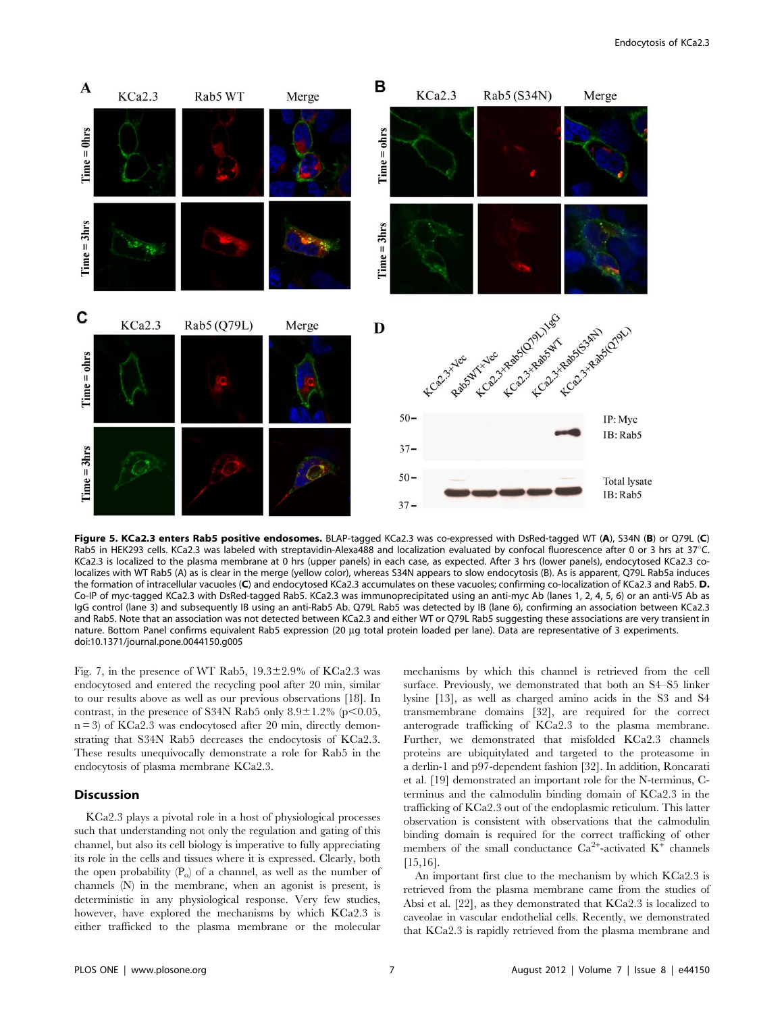Endocytosis of KCa2.3



Figure 5. KCa2.3 enters Rab5 positive endosomes. BLAP-tagged KCa2.3 was co-expressed with DsRed-tagged WT (A), S34N (B) or Q79L (C) Rab5 in HEK293 cells. KCa2.3 was labeled with streptavidin-Alexa488 and localization evaluated by confocal fluorescence after 0 or 3 hrs at 37°C. KCa2.3 is localized to the plasma membrane at 0 hrs (upper panels) in each case, as expected. After 3 hrs (lower panels), endocytosed KCa2.3 colocalizes with WT Rab5 (A) as is clear in the merge (yellow color), whereas S34N appears to slow endocytosis (B). As is apparent, Q79L Rab5a induces the formation of intracellular vacuoles (C) and endocytosed KCa2.3 accumulates on these vacuoles; confirming co-localization of KCa2.3 and Rab5. D. Co-IP of myc-tagged KCa2.3 with DsRed-tagged Rab5. KCa2.3 was immunoprecipitated using an anti-myc Ab (lanes 1, 2, 4, 5, 6) or an anti-V5 Ab as IgG control (lane 3) and subsequently IB using an anti-Rab5 Ab. Q79L Rab5 was detected by IB (lane 6), confirming an association between KCa2.3 and Rab5. Note that an association was not detected between KCa2.3 and either WT or Q79L Rab5 suggesting these associations are very transient in nature. Bottom Panel confirms equivalent Rab5 expression (20 µg total protein loaded per lane). Data are representative of 3 experiments. doi:10.1371/journal.pone.0044150.g005

Fig. 7, in the presence of WT Rab5,  $19.3 \pm 2.9$ % of KCa2.3 was endocytosed and entered the recycling pool after 20 min, similar to our results above as well as our previous observations [18]. In contrast, in the presence of S34N Rab5 only  $8.9 \pm 1.2\%$  (p $< 0.05$ ,  $n = 3$ ) of KCa2.3 was endocytosed after 20 min, directly demonstrating that S34N Rab5 decreases the endocytosis of KCa2.3. These results unequivocally demonstrate a role for Rab5 in the endocytosis of plasma membrane KCa2.3.

# Discussion

KCa2.3 plays a pivotal role in a host of physiological processes such that understanding not only the regulation and gating of this channel, but also its cell biology is imperative to fully appreciating its role in the cells and tissues where it is expressed. Clearly, both the open probability  $(P_0)$  of a channel, as well as the number of channels (N) in the membrane, when an agonist is present, is deterministic in any physiological response. Very few studies, however, have explored the mechanisms by which KCa2.3 is either trafficked to the plasma membrane or the molecular

mechanisms by which this channel is retrieved from the cell surface. Previously, we demonstrated that both an S4–S5 linker lysine [13], as well as charged amino acids in the S3 and S4 transmembrane domains [32], are required for the correct anterograde trafficking of KCa2.3 to the plasma membrane. Further, we demonstrated that misfolded KCa2.3 channels proteins are ubiquitylated and targeted to the proteasome in a derlin-1 and p97-dependent fashion [32]. In addition, Roncarati et al. [19] demonstrated an important role for the N-terminus, Cterminus and the calmodulin binding domain of KCa2.3 in the trafficking of KCa2.3 out of the endoplasmic reticulum. This latter observation is consistent with observations that the calmodulin binding domain is required for the correct trafficking of other members of the small conductance  $Ca^{2+}$ -activated  $K^+$  channels [15,16].

An important first clue to the mechanism by which KCa2.3 is retrieved from the plasma membrane came from the studies of Absi et al. [22], as they demonstrated that KCa2.3 is localized to caveolae in vascular endothelial cells. Recently, we demonstrated that KCa2.3 is rapidly retrieved from the plasma membrane and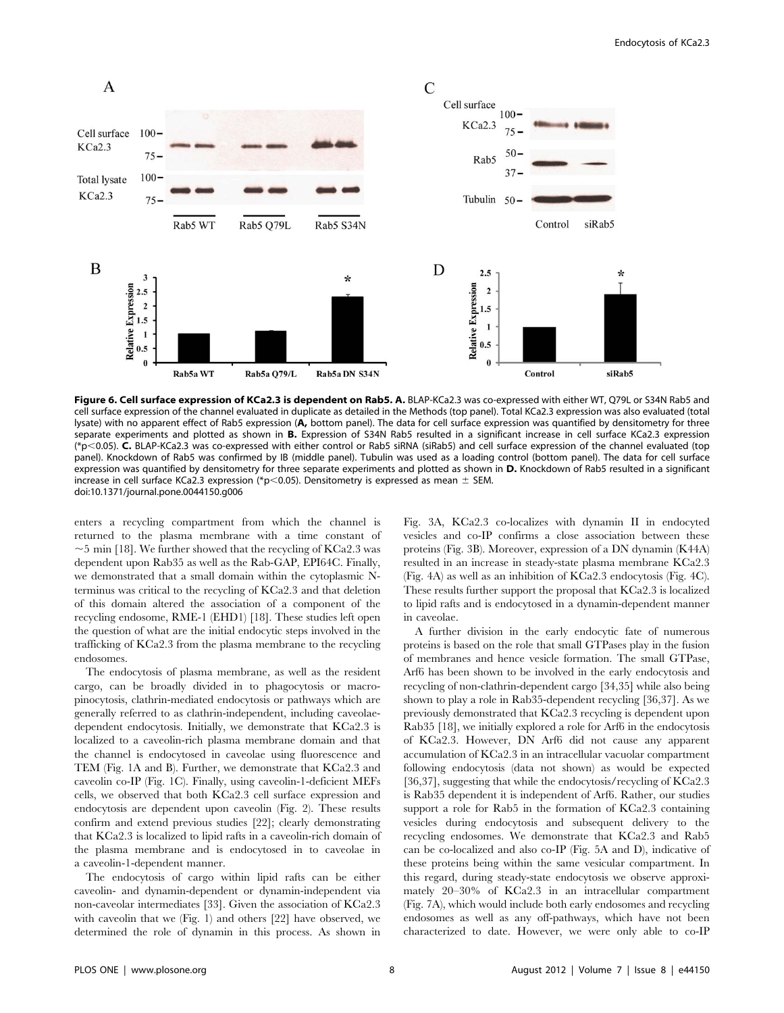

Figure 6. Cell surface expression of KCa2.3 is dependent on Rab5. A. BLAP-KCa2.3 was co-expressed with either WT, Q79L or S34N Rab5 and cell surface expression of the channel evaluated in duplicate as detailed in the Methods (top panel). Total KCa2.3 expression was also evaluated (total lysate) with no apparent effect of Rab5 expression (A, bottom panel). The data for cell surface expression was quantified by densitometry for three separate experiments and plotted as shown in B. Expression of S34N Rab5 resulted in a significant increase in cell surface KCa2.3 expression (\*p,0.05). C. BLAP-KCa2.3 was co-expressed with either control or Rab5 siRNA (siRab5) and cell surface expression of the channel evaluated (top panel). Knockdown of Rab5 was confirmed by IB (middle panel). Tubulin was used as a loading control (bottom panel). The data for cell surface expression was quantified by densitometry for three separate experiments and plotted as shown in D. Knockdown of Rab5 resulted in a significant increase in cell surface KCa2.3 expression (\*p<0.05). Densitometry is expressed as mean  $\pm$  SEM. doi:10.1371/journal.pone.0044150.g006

enters a recycling compartment from which the channel is returned to the plasma membrane with a time constant of  $\sim$ 5 min [18]. We further showed that the recycling of KCa2.3 was dependent upon Rab35 as well as the Rab-GAP, EPI64C. Finally, we demonstrated that a small domain within the cytoplasmic Nterminus was critical to the recycling of KCa2.3 and that deletion of this domain altered the association of a component of the recycling endosome, RME-1 (EHD1) [18]. These studies left open the question of what are the initial endocytic steps involved in the trafficking of KCa2.3 from the plasma membrane to the recycling endosomes.

The endocytosis of plasma membrane, as well as the resident cargo, can be broadly divided in to phagocytosis or macropinocytosis, clathrin-mediated endocytosis or pathways which are generally referred to as clathrin-independent, including caveolaedependent endocytosis. Initially, we demonstrate that KCa2.3 is localized to a caveolin-rich plasma membrane domain and that the channel is endocytosed in caveolae using fluorescence and TEM (Fig. 1A and B). Further, we demonstrate that KCa2.3 and caveolin co-IP (Fig. 1C). Finally, using caveolin-1-deficient MEFs cells, we observed that both KCa2.3 cell surface expression and endocytosis are dependent upon caveolin (Fig. 2). These results confirm and extend previous studies [22]; clearly demonstrating that KCa2.3 is localized to lipid rafts in a caveolin-rich domain of the plasma membrane and is endocytosed in to caveolae in a caveolin-1-dependent manner.

The endocytosis of cargo within lipid rafts can be either caveolin- and dynamin-dependent or dynamin-independent via non-caveolar intermediates [33]. Given the association of KCa2.3 with caveolin that we (Fig. 1) and others [22] have observed, we determined the role of dynamin in this process. As shown in Fig. 3A, KCa2.3 co-localizes with dynamin II in endocyted vesicles and co-IP confirms a close association between these proteins (Fig. 3B). Moreover, expression of a DN dynamin (K44A) resulted in an increase in steady-state plasma membrane KCa2.3 (Fig. 4A) as well as an inhibition of KCa2.3 endocytosis (Fig. 4C). These results further support the proposal that KCa2.3 is localized to lipid rafts and is endocytosed in a dynamin-dependent manner in caveolae.

A further division in the early endocytic fate of numerous proteins is based on the role that small GTPases play in the fusion of membranes and hence vesicle formation. The small GTPase, Arf6 has been shown to be involved in the early endocytosis and recycling of non-clathrin-dependent cargo [34,35] while also being shown to play a role in Rab35-dependent recycling [36,37]. As we previously demonstrated that KCa2.3 recycling is dependent upon Rab35 [18], we initially explored a role for Arf6 in the endocytosis of KCa2.3. However, DN Arf6 did not cause any apparent accumulation of KCa2.3 in an intracellular vacuolar compartment following endocytosis (data not shown) as would be expected [36,37], suggesting that while the endocytosis/recycling of KCa2.3 is Rab35 dependent it is independent of Arf6. Rather, our studies support a role for Rab5 in the formation of KCa2.3 containing vesicles during endocytosis and subsequent delivery to the recycling endosomes. We demonstrate that KCa2.3 and Rab5 can be co-localized and also co-IP (Fig. 5A and D), indicative of these proteins being within the same vesicular compartment. In this regard, during steady-state endocytosis we observe approximately 20–30% of KCa2.3 in an intracellular compartment (Fig. 7A), which would include both early endosomes and recycling endosomes as well as any off-pathways, which have not been characterized to date. However, we were only able to co-IP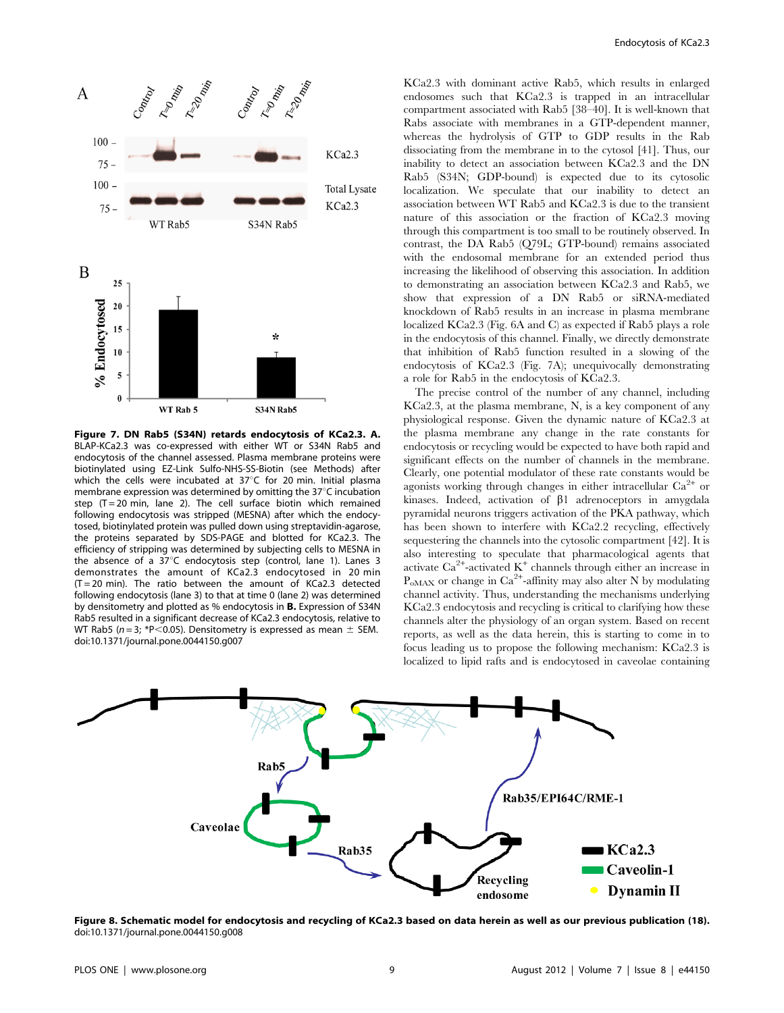

Figure 7. DN Rab5 (S34N) retards endocytosis of KCa2.3. A. BLAP-KCa2.3 was co-expressed with either WT or S34N Rab5 and endocytosis of the channel assessed. Plasma membrane proteins were biotinylated using EZ-Link Sulfo-NHS-SS-Biotin (see Methods) after which the cells were incubated at  $37^{\circ}$ C for 20 min. Initial plasma membrane expression was determined by omitting the  $37^{\circ}$ C incubation step  $(T = 20 \text{ min}, \text{lane } 2)$ . The cell surface biotin which remained following endocytosis was stripped (MESNA) after which the endocytosed, biotinylated protein was pulled down using streptavidin-agarose, the proteins separated by SDS-PAGE and blotted for KCa2.3. The efficiency of stripping was determined by subjecting cells to MESNA in the absence of a  $37^{\circ}$ C endocytosis step (control, lane 1). Lanes 3 demonstrates the amount of KCa2.3 endocytosed in 20 min  $(T = 20 \text{ min})$ . The ratio between the amount of KCa2.3 detected following endocytosis (lane 3) to that at time 0 (lane 2) was determined by densitometry and plotted as % endocytosis in B. Expression of S34N Rab5 resulted in a significant decrease of KCa2.3 endocytosis, relative to WT Rab5 ( $n = 3$ ; \*P<0.05). Densitometry is expressed as mean  $\pm$  SEM. doi:10.1371/journal.pone.0044150.g007

KCa2.3 with dominant active Rab5, which results in enlarged endosomes such that KCa2.3 is trapped in an intracellular compartment associated with Rab5 [38–40]. It is well-known that Rabs associate with membranes in a GTP-dependent manner, whereas the hydrolysis of GTP to GDP results in the Rab dissociating from the membrane in to the cytosol [41]. Thus, our inability to detect an association between KCa2.3 and the DN Rab5 (S34N; GDP-bound) is expected due to its cytosolic localization. We speculate that our inability to detect an association between WT Rab5 and KCa2.3 is due to the transient nature of this association or the fraction of KCa2.3 moving through this compartment is too small to be routinely observed. In contrast, the DA Rab5 (Q79L; GTP-bound) remains associated with the endosomal membrane for an extended period thus increasing the likelihood of observing this association. In addition to demonstrating an association between KCa2.3 and Rab5, we show that expression of a DN Rab5 or siRNA-mediated knockdown of Rab5 results in an increase in plasma membrane localized KCa2.3 (Fig. 6A and C) as expected if Rab5 plays a role in the endocytosis of this channel. Finally, we directly demonstrate that inhibition of Rab5 function resulted in a slowing of the endocytosis of KCa2.3 (Fig. 7A); unequivocally demonstrating a role for Rab5 in the endocytosis of KCa2.3.

The precise control of the number of any channel, including KCa2.3, at the plasma membrane, N, is a key component of any physiological response. Given the dynamic nature of KCa2.3 at the plasma membrane any change in the rate constants for endocytosis or recycling would be expected to have both rapid and significant effects on the number of channels in the membrane. Clearly, one potential modulator of these rate constants would be agonists working through changes in either intracellular  $Ca^{2+}$  or kinases. Indeed, activation of  $\beta$ 1 adrenoceptors in amygdala pyramidal neurons triggers activation of the PKA pathway, which has been shown to interfere with KCa2.2 recycling, effectively sequestering the channels into the cytosolic compartment [42]. It is also interesting to speculate that pharmacological agents that activate  $\text{Ca}^{2+}$ -activated K<sup>+</sup> channels through either an increase in  $P_{\text{oMAX}}$  or change in  $Ca^{2+}$ -affinity may also alter N by modulating channel activity. Thus, understanding the mechanisms underlying KCa2.3 endocytosis and recycling is critical to clarifying how these channels alter the physiology of an organ system. Based on recent reports, as well as the data herein, this is starting to come in to focus leading us to propose the following mechanism: KCa2.3 is localized to lipid rafts and is endocytosed in caveolae containing



Figure 8. Schematic model for endocytosis and recycling of KCa2.3 based on data herein as well as our previous publication (18). doi:10.1371/journal.pone.0044150.g008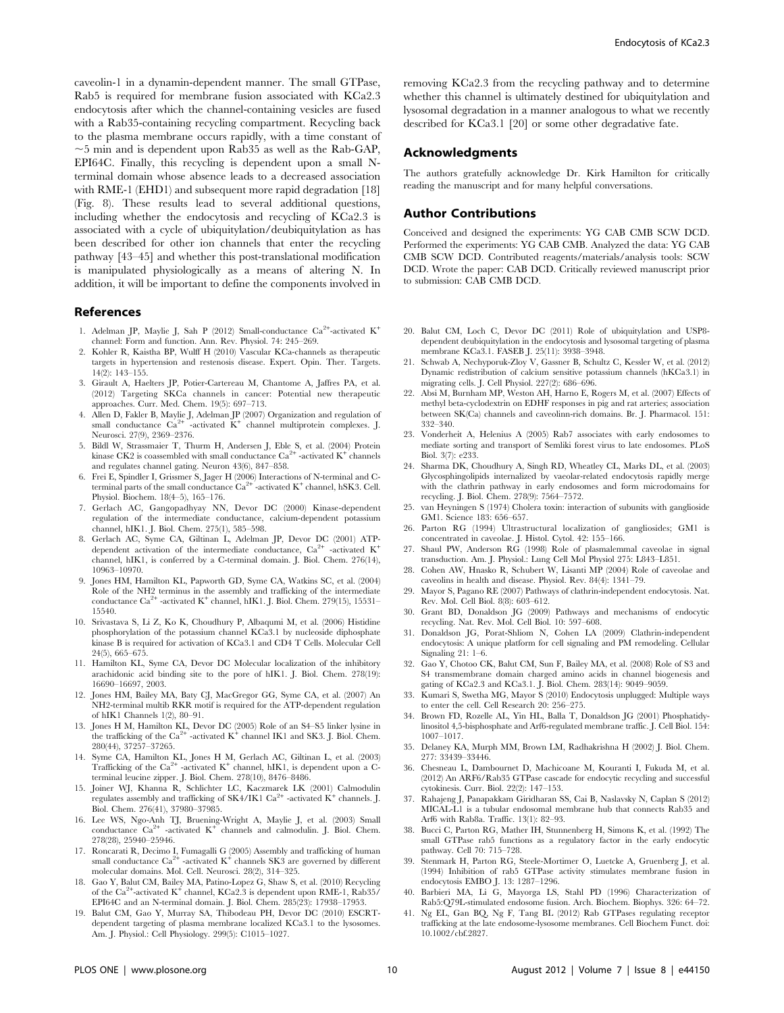caveolin-1 in a dynamin-dependent manner. The small GTPase, Rab5 is required for membrane fusion associated with KCa2.3 endocytosis after which the channel-containing vesicles are fused with a Rab35-containing recycling compartment. Recycling back to the plasma membrane occurs rapidly, with a time constant of  $\sim$ 5 min and is dependent upon Rab35 as well as the Rab-GAP, EPI64C. Finally, this recycling is dependent upon a small Nterminal domain whose absence leads to a decreased association with RME-1 (EHD1) and subsequent more rapid degradation [18] (Fig. 8). These results lead to several additional questions, including whether the endocytosis and recycling of KCa2.3 is associated with a cycle of ubiquitylation/deubiquitylation as has been described for other ion channels that enter the recycling pathway [43–45] and whether this post-translational modification is manipulated physiologically as a means of altering N. In addition, it will be important to define the components involved in

### References

- 1. Adelman JP, Maylie J, Sah P (2012) Small-conductance Ca<sup>2+</sup>-activated K<sup>+</sup> channel: Form and function. Ann. Rev. Physiol. 74: 245–269.
- 2. Kohler R, Kaistha BP, Wulff H (2010) Vascular KCa-channels as therapeutic targets in hypertension and restenosis disease. Expert. Opin. Ther. Targets. 14(2): 143–155.
- 3. Girault A, Haelters JP, Potier-Cartereau M, Chantome A, Jaffres PA, et al. (2012) Targeting SKCa channels in cancer: Potential new therapeutic approaches. Curr. Med. Chem. 19(5): 697–713.
- 4. Allen D, Fakler B, Maylie J, Adelman JP (2007) Organization and regulation of small conductance  $Ca^{2+}$  -activated  $K^+$  channel multiprotein complexes. J. Neurosci. 27(9), 2369–2376.
- 5. Bildl W, Strassmaier T, Thurm H, Andersen J, Eble S, et al. (2004) Protein kinase CK2 is coassembled with small conductance  $Ca^{2+}$ -activated  $K^+$  channels and regulates channel gating. Neuron 43(6), 847–858.
- 6. Frei E, Spindler I, Grissmer S, Jager H (2006) Interactions of N-terminal and Cterminal parts of the small conductance  $Ca^{2+}$ -activated  $K^+$  channel, hSK3. Cell. Physiol. Biochem. 18(4–5), 165–176.
- 7. Gerlach AC, Gangopadhyay NN, Devor DC (2000) Kinase-dependent regulation of the intermediate conductance, calcium-dependent potassium channel, hIK1. J. Biol. Chem. 275(1), 585–598.
- 8. Gerlach AC, Syme CA, Giltinan L, Adelman JP, Devor DC (2001) ATPdependent activation of the intermediate conductance,  $Ca^{2+}$  -activated  $K^+$ channel, hIK1, is conferred by a C-terminal domain. J. Biol. Chem. 276(14), 10963–10970.
- 9. Jones HM, Hamilton KL, Papworth GD, Syme CA, Watkins SC, et al. (2004) Role of the NH2 terminus in the assembly and trafficking of the intermediate conductance  $Ca^{2+}$ -activated  $K^+$  channel, hIK1. J. Biol. Chem. 279(15), 15531– 15540.
- 10. Srivastava S, Li Z, Ko K, Choudhury P, Albaqumi M, et al. (2006) Histidine phosphorylation of the potassium channel KCa3.1 by nucleoside diphosphate kinase B is required for activation of KCa3.1 and CD4 T Cells. Molecular Cell 24(5), 665–675.
- 11. Hamilton KL, Syme CA, Devor DC Molecular localization of the inhibitory arachidonic acid binding site to the pore of hIK1. J. Biol. Chem. 278(19): 16690–16697, 2003.
- 12. Jones HM, Bailey MA, Baty CJ, MacGregor GG, Syme CA, et al. (2007) An NH2-terminal multib RKR motif is required for the ATP-dependent regulation of hIK1 Channels 1(2), 80–91.
- 13. Jones H M, Hamilton KL, Devor DC (2005) Role of an S4–S5 linker lysine in the trafficking of the  $Ca^{2+}$  -activated  $K^+$  channel IK1 and SK3. J. Biol. Chem. 280(44), 37257–37265.
- 14. Syme CA, Hamilton KL, Jones H M, Gerlach AC, Giltinan L, et al. (2003) Trafficking of the Ca<sup>2+</sup> -activated K<sup>+</sup> channel, hIK1, is dependent upon a Cterminal leucine zipper. J. Biol. Chem. 278(10), 8476–8486.
- 15. Joiner WJ, Khanna R, Schlichter LC, Kaczmarek LK (2001) Calmodulin regulates assembly and trafficking of  $SK4/IK1$   $Ca^{2+}$  -activated  $K^+$  channels. J. Biol. Chem. 276(41), 37980–37985.
- 16. Lee WS, Ngo-Anh TJ, Bruening-Wright A, Maylie J, et al. (2003) Small conductance  $Ca^{2+}$  -activated  $K^+$  channels and calmodulin. J. Biol. Chem. 278(28), 25940–25946.
- 17. Roncarati R, Decimo I, Fumagalli G (2005) Assembly and trafficking of human small conductance  $Ca^{2+}$  -activated  $K^+$  channels SK3 are governed by different molecular domains. Mol. Cell. Neurosci. 28(2), 314–325.
- 18. Gao Y, Balut CM, Bailey MA, Patino-Lopez G, Shaw S, et al. (2010) Recycling of the Ca<sup>2+</sup>-activated K<sup>+</sup> channel, KCa2.3 is dependent upon RME-1, Rab35/ EPI64C and an N-terminal domain. J. Biol. Chem. 285(23): 17938–17953.
- 19. Balut CM, Gao Y, Murray SA, Thibodeau PH, Devor DC (2010) ESCRTdependent targeting of plasma membrane localized KCa3.1 to the lysosomes. Am. J. Physiol.: Cell Physiology. 299(5): C1015–1027.

removing KCa2.3 from the recycling pathway and to determine whether this channel is ultimately destined for ubiquitylation and lysosomal degradation in a manner analogous to what we recently described for KCa3.1 [20] or some other degradative fate.

# Acknowledgments

The authors gratefully acknowledge Dr. Kirk Hamilton for critically reading the manuscript and for many helpful conversations.

## Author Contributions

Conceived and designed the experiments: YG CAB CMB SCW DCD. Performed the experiments: YG CAB CMB. Analyzed the data: YG CAB CMB SCW DCD. Contributed reagents/materials/analysis tools: SCW DCD. Wrote the paper: CAB DCD. Critically reviewed manuscript prior to submission: CAB CMB DCD.

- 20. Balut CM, Loch C, Devor DC (2011) Role of ubiquitylation and USP8 dependent deubiquitylation in the endocytosis and lysosomal targeting of plasma membrane KCa3.1. FASEB J. 25(11): 3938–3948.
- 21. Schwab A, Nechyporuk-Zloy V, Gassner B, Schultz C, Kessler W, et al. (2012) Dynamic redistribution of calcium sensitive potassium channels (hKCa3.1) in migrating cells. J. Cell Physiol. 227(2): 686–696.
- 22. Absi M, Burnham MP, Weston AH, Harno E, Rogers M, et al. (2007) Effects of methyl beta-cyclodextrin on EDHF responses in pig and rat arteries; association between SK(Ca) channels and caveolinn-rich domains. Br. J. Pharmacol. 151: 332–340.
- 23. Vonderheit A, Helenius A (2005) Rab7 associates with early endosomes to mediate sorting and transport of Semliki forest virus to late endosomes. PLoS Biol. 3(7): e233.
- 24. Sharma DK, Choudhury A, Singh RD, Wheatley CL, Marks DL, et al. (2003) Glycosphingolipids internalized by vaeolar-related endocytosis rapidly merge with the clathrin pathway in early endosomes and form microdomains for recycling. J. Biol. Chem. 278(9): 7564–7572.
- 25. van Heyningen S (1974) Cholera toxin: interaction of subunits with ganglioside GM1. Science 183: 656–657.
- 26. Parton RG (1994) Ultrastructural localization of gangliosides; GM1 is concentrated in caveolae. J. Histol. Cytol. 42: 155–166.
- 27. Shaul PW, Anderson RG (1998) Role of plasmalemmal caveolae in signal transduction. Am. J. Physiol.: Lung Cell Mol Physiol 275: L843–L851.
- 28. Cohen AW, Hnasko R, Schubert W, Lisanti MP (2004) Role of caveolae and caveolins in health and disease. Physiol. Rev. 84(4): 1341–79.
- 29. Mayor S, Pagano RE (2007) Pathways of clathrin-independent endocytosis. Nat. Rev. Mol. Cell Biol. 8(8): 603–612.
- 30. Grant BD, Donaldson JG (2009) Pathways and mechanisms of endocytic recycling. Nat. Rev. Mol. Cell Biol. 10: 597–608.
- 31. Donaldson JG, Porat-Shliom N, Cohen LA (2009) Clathrin-independent endocytosis: A unique platform for cell signaling and PM remodeling. Cellular Signaling 21: 1–6.
- 32. Gao Y, Chotoo CK, Balut CM, Sun F, Bailey MA, et al. (2008) Role of S3 and S4 transmembrane domain charged amino acids in channel biogenesis and gating of KCa2.3 and KCa3.1. J. Biol. Chem. 283(14): 9049–9059.
- 33. Kumari S, Swetha MG, Mayor S (2010) Endocytosis unplugged: Multiple ways to enter the cell. Cell Research 20: 256–275.
- 34. Brown FD, Rozelle AL, Yin HL, Balla T, Donaldson JG (2001) Phosphatidylinositol 4,5-bisphosphate and Arf6-regulated membrane traffic. J. Cell Biol. 154: 1007–1017.
- 35. Delaney KA, Murph MM, Brown LM, Radhakrishna H (2002) J. Biol. Chem. 277: 33439–33446.
- 36. Chesneau L, Dambournet D, Machicoane M, Kouranti I, Fukuda M, et al. (2012) An ARF6/Rab35 GTPase cascade for endocytic recycling and successful cytokinesis. Curr. Biol. 22(2): 147–153.
- 37. Rahajeng J, Panapakkam Giridharan SS, Cai B, Naslavsky N, Caplan S (2012) MICAL-L1 is a tubular endosomal membrane hub that connects Rab35 and Arf6 with Rab8a. Traffic. 13(1): 82–93.
- 38. Bucci C, Parton RG, Mather IH, Stunnenberg H, Simons K, et al. (1992) The small GTPase rab5 functions as a regulatory factor in the early endocytic pathway. Cell 70: 715–728.
- 39. Stenmark H, Parton RG, Steele-Mortimer O, Luetcke A, Gruenberg J, et al. (1994) Inhibition of rab5 GTPase activity stimulates membrane fusion in endocytosis EMBO J. 13: 1287–1296.
- 40. Barbieri MA, Li G, Mayorga LS, Stahl PD (1996) Characterization of Rab5:Q79L-stimulated endosome fusion. Arch. Biochem. Biophys. 326: 64–72.
- 41. Ng EL, Gan BQ, Ng F, Tang BL (2012) Rab GTPases regulating receptor trafficking at the late endosome-lysosome membranes. Cell Biochem Funct. doi: 10.1002/cbf.2827.